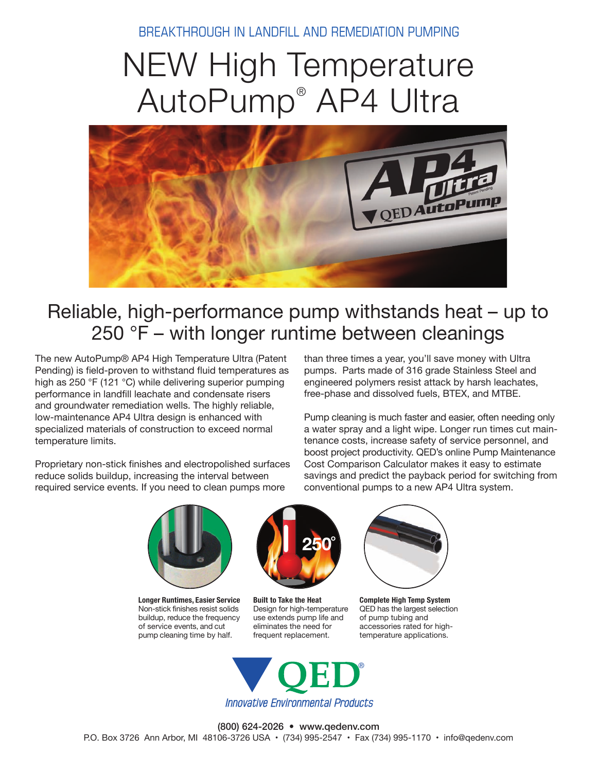BREAKTHROUGH IN LANDFILL AND REMEDIATION PUMPING

# NEW High Temperature AutoPump® AP4 Ultra



### Reliable, high-performance pump withstands heat – up to 250 °F – with longer runtime between cleanings

The new AutoPump® AP4 High Temperature Ultra (Patent Pending) is field-proven to withstand fluid temperatures as high as 250 °F (121 °C) while delivering superior pumping performance in landfill leachate and condensate risers and groundwater remediation wells. The highly reliable, low-maintenance AP4 Ultra design is enhanced with specialized materials of construction to exceed normal temperature limits.

Proprietary non-stick finishes and electropolished surfaces reduce solids buildup, increasing the interval between required service events. If you need to clean pumps more

than three times a year, you'll save money with Ultra pumps. Parts made of 316 grade Stainless Steel and engineered polymers resist attack by harsh leachates, free-phase and dissolved fuels, BTEX, and MTBE.

Pump cleaning is much faster and easier, often needing only a water spray and a light wipe. Longer run times cut maintenance costs, increase safety of service personnel, and boost project productivity. QED's online Pump Maintenance Cost Comparison Calculator makes it easy to estimate savings and predict the payback period for switching from conventional pumps to a new AP4 Ultra system.



**Longer Runtimes, Easier Service** Non-stick finishes resist solids buildup, reduce the frequency of service events, and cut pump cleaning time by half.



**Built to Take the Heat** Design for high-temperature use extends pump life and eliminates the need for frequent replacement.



**Complete High Temp System** QED has the largest selection of pump tubing and accessories rated for hightemperature applications.